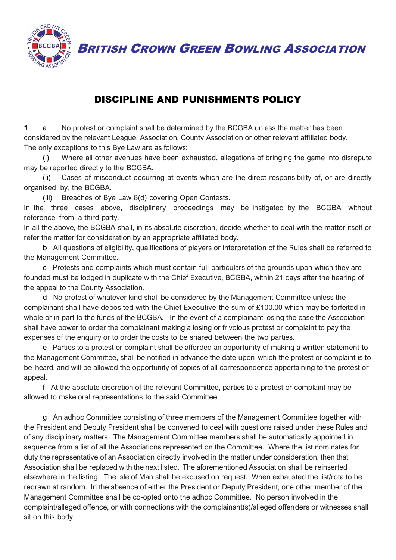BRITISH CROWN GREEN BOWLING ASSOCIATION



## DISCIPLINE AND PUNISHMENTS POLICY

**1** a No protest or complaint shall be determined by the BCGBA unless the matter has been considered by the relevant League, Association, County Association or other relevant affiliated body. The only exceptions to this Bye Law are as follows:

(i) Where all other avenues have been exhausted, allegations of bringing the game into disrepute may be reported directly to the BCGBA.

(ii) Cases of misconduct occurring at events which are the direct responsibility of, or are directly organised by, the BCGBA.

(iii) Breaches of Bye Law 8(d) covering Open Contests.

In the three cases above, disciplinary proceedings may be instigated by the BCGBA without reference from a third party.

In all the above, the BCGBA shall, in its absolute discretion, decide whether to deal with the matter itself or refer the matter for consideration by an appropriate affiliated body.

b All questions of eligibility, qualifications of players or interpretation of the Rules shall be referred to the Management Committee.

c Protests and complaints which must contain full particulars of the grounds upon which they are founded must be lodged in duplicate with the Chief Executive, BCGBA, within 21 days after the hearing of the appeal to the County Association.

d No protest of whatever kind shall be considered by the Management Committee unless the complainant shall have deposited with the Chief Executive the sum of £100.00 which may be forfeited in whole or in part to the funds of the BCGBA. In the event of a complainant losing the case the Association shall have power to order the complainant making a losing or frivolous protest or complaint to pay the expenses of the enquiry or to order the costs to be shared between the two parties.

e Parties to a protest or complaint shall be afforded an opportunity of making a written statement to the Management Committee, shall be notified in advance the date upon which the protest or complaint is to be heard, and will be allowed the opportunity of copies of all correspondence appertaining to the protest or appeal.

f At the absolute discretion of the relevant Committee, parties to a protest or complaint may be allowed to make oral representations to the said Committee.

g An adhoc Committee consisting of three members of the Management Committee together with the President and Deputy President shall be convened to deal with questions raised under these Rules and of any disciplinary matters. The Management Committee members shall be automatically appointed in sequence from a list of all the Associations represented on the Committee. Where the list nominates for duty the representative of an Association directly involved in the matter under consideration, then that Association shall be replaced with the next listed. The aforementioned Association shall be reinserted elsewhere in the listing. The Isle of Man shall be excused on request. When exhausted the list/rota to be redrawn at random. In the absence of either the President or Deputy President, one other member of the Management Committee shall be co-opted onto the adhoc Committee. No person involved in the complaint/alleged offence, or with connections with the complainant(s)/alleged offenders or witnesses shall sit on this body.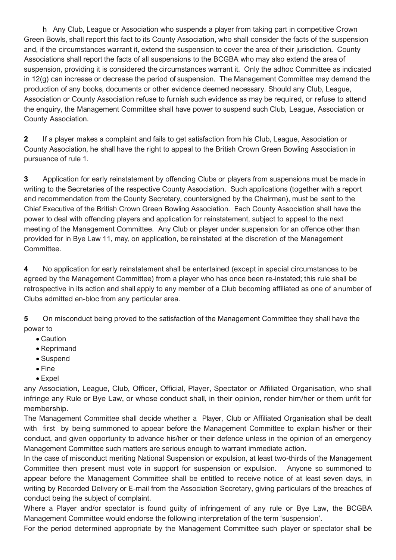h Any Club, League or Association who suspends a player from taking part in competitive Crown Green Bowls, shall report this fact to its County Association, who shall consider the facts of the suspension and, if the circumstances warrant it, extend the suspension to cover the area of their jurisdiction. County Associations shall report the facts of all suspensions to the BCGBA who may also extend the area of suspension, providing it is considered the circumstances warrant it. Only the adhoc Committee as indicated in 12(g) can increase or decrease the period of suspension. The Management Committee may demand the production of any books, documents or other evidence deemed necessary. Should any Club, League, Association or County Association refuse to furnish such evidence as may be required, or refuse to attend the enquiry, the Management Committee shall have power to suspend such Club, League, Association or County Association.

**2** If a player makes a complaint and fails to get satisfaction from his Club, League, Association or County Association, he shall have the right to appeal to the British Crown Green Bowling Association in pursuance of rule 1.

**3** Application for early reinstatement by offending Clubs or players from suspensions must be made in writing to the Secretaries of the respective County Association. Such applications (together with a report and recommendation from the County Secretary, countersigned by the Chairman), must be sent to the Chief Executive of the British Crown Green Bowling Association. Each County Association shall have the power to deal with offending players and application for reinstatement, subject to appeal to the next meeting of the Management Committee. Any Club or player under suspension for an offence other than provided for in Bye Law 11, may, on application, be reinstated at the discretion of the Management Committee.

**4** No application for early reinstatement shall be entertained (except in special circumstances to be agreed by the Management Committee) from a player who has once been re-instated; this rule shall be retrospective in its action and shall apply to any member of a Club becoming affiliated as one of a number of Clubs admitted en-bloc from any particular area.

**5** On misconduct being proved to the satisfaction of the Management Committee they shall have the power to

- Caution
- Reprimand
- Suspend
- Fine
- Expel

any Association, League, Club, Officer, Official, Player, Spectator or Affiliated Organisation, who shall infringe any Rule or Bye Law, or whose conduct shall, in their opinion, render him/her or them unfit for membership.

The Management Committee shall decide whether a Player, Club or Affiliated Organisation shall be dealt with first by being summoned to appear before the Management Committee to explain his/her or their conduct, and given opportunity to advance his/her or their defence unless in the opinion of an emergency Management Committee such matters are serious enough to warrant immediate action.

In the case of misconduct meriting National Suspension or expulsion, at least two-thirds of the Management Committee then present must vote in support for suspension or expulsion. Anyone so summoned to appear before the Management Committee shall be entitled to receive notice of at least seven days, in writing by Recorded Delivery or E-mail from the Association Secretary, giving particulars of the breaches of conduct being the subject of complaint.

Where a Player and/or spectator is found guilty of infringement of any rule or Bye Law, the BCGBA Management Committee would endorse the following interpretation of the term 'suspension'.

For the period determined appropriate by the Management Committee such player or spectator shall be